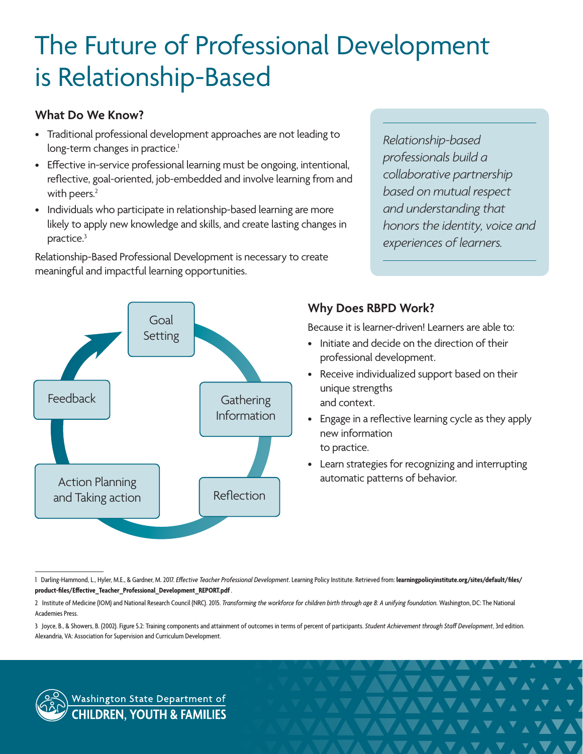# The Future of Professional Development is Relationship-Based

#### **What Do We Know?**

- Traditional professional development approaches are not leading to long-term changes in practice.<sup>1</sup>
- Effective in-service professional learning must be ongoing, intentional, reflective, goal-oriented, job-embedded and involve learning from and with peers.<sup>2</sup>
- Individuals who participate in relationship-based learning are more likely to apply new knowledge and skills, and create lasting changes in practice.3

Relationship-Based Professional Development is necessary to create meaningful and impactful learning opportunities.

*Relationship-based professionals build a collaborative partnership based on mutual respect and understanding that honors the identity, voice and experiences of learners.*



## **Why Does RBPD Work?**

Because it is learner-driven! Learners are able to:

- Initiate and decide on the direction of their professional development.
- Receive individualized support based on their unique strengths and context.
- Engage in a reflective learning cycle as they apply new information to practice.
- Learn strategies for recognizing and interrupting automatic patterns of behavior.

**\VXVAVAVAVAYAYAYA** 

**AVAVAVAV**AVAV

VAVAVAVAVA

**AVAVAVAVAVA** 



<sup>1</sup> Darling-Hammond, L., Hyler, M.E., & Gardner, M. 2017. *Effective Teacher Professional Development*. Learning Policy Institute. Retrieved from: **[learningpolicyinstitute.org/sites/default/files/](https://learningpolicyinstitute.org/sites/default/files/product-files/Effective_Teacher_Professional_Development_REPORT.pdf) [product-files/Effective\\_Teacher\\_Professional\\_Development\\_REPORT.pdf](https://learningpolicyinstitute.org/sites/default/files/product-files/Effective_Teacher_Professional_Development_REPORT.pdf)**.

<sup>2</sup> Institute of Medicine (IOM) and National Research Council (NRC). 2015. Transforming the workforce for children birth through age 8: A unifying foundation. Washington, DC: The National Academies Press.

<sup>3</sup> Joyce, B., & Showers, B. (2002). Figure 5.2: Training components and attainment of outcomes in terms of percent of participants. *Student Achievement through Staff Development*, 3rd edition. Alexandria, VA: Association for Supervision and Curriculum Development.